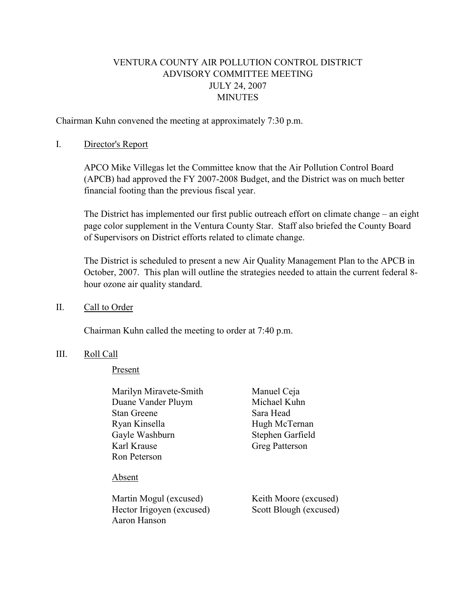# VENTURA COUNTY AIR POLLUTION CONTROL DISTRICT ADVISORY COMMITTEE MEETING JULY 24, 2007 **MINUTES**

Chairman Kuhn convened the meeting at approximately 7:30 p.m.

## I. Director's Report

 APCO Mike Villegas let the Committee know that the Air Pollution Control Board (APCB) had approved the FY 2007-2008 Budget, and the District was on much better financial footing than the previous fiscal year.

 The District has implemented our first public outreach effort on climate change – an eight page color supplement in the Ventura County Star. Staff also briefed the County Board of Supervisors on District efforts related to climate change.

The District is scheduled to present a new Air Quality Management Plan to the APCB in October, 2007. This plan will outline the strategies needed to attain the current federal 8 hour ozone air quality standard.

### II. Call to Order

Chairman Kuhn called the meeting to order at 7:40 p.m.

### III. Roll Call

Present

| Marilyn Miravete-Smith                    | Manuel Ceja            |  |
|-------------------------------------------|------------------------|--|
| Duane Vander Pluym                        | Michael Kuhn           |  |
| <b>Stan Greene</b>                        | Sara Head              |  |
| Ryan Kinsella                             | Hugh McTernan          |  |
| Gayle Washburn                            | Stephen Garfield       |  |
| Karl Krause                               | Greg Patterson         |  |
| Ron Peterson                              |                        |  |
| Absent                                    |                        |  |
| Martin Mogul (excused)                    | Keith Moore (excused)  |  |
| Hector Irigoyen (excused)<br>Aaron Hanson | Scott Blough (excused) |  |
|                                           |                        |  |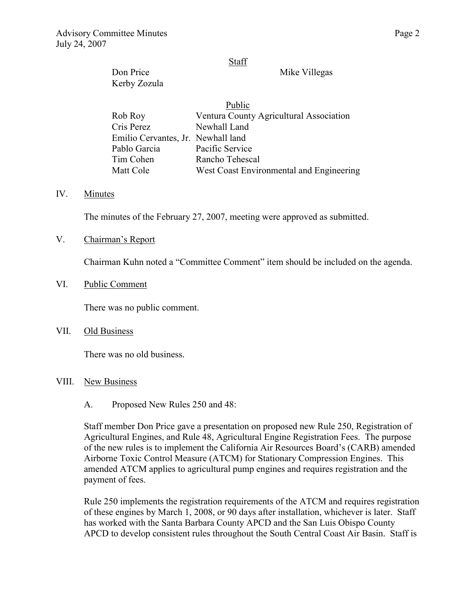#### Staff

Don Price Mike Villegas Kerby Zozula

| Public                             |                                          |  |
|------------------------------------|------------------------------------------|--|
| Rob Roy                            | Ventura County Agricultural Association  |  |
| Cris Perez                         | Newhall Land                             |  |
| Emilio Cervantes, Jr. Newhall land |                                          |  |
| Pablo Garcia                       | Pacific Service                          |  |
| Tim Cohen                          | Rancho Tehescal                          |  |
| Matt Cole                          | West Coast Environmental and Engineering |  |

### IV. Minutes

The minutes of the February 27, 2007, meeting were approved as submitted.

V. Chairman's Report

Chairman Kuhn noted a "Committee Comment" item should be included on the agenda.

VI. Public Comment

There was no public comment.

VII. Old Business

There was no old business.

#### VIII. New Business

A. Proposed New Rules 250 and 48:

Staff member Don Price gave a presentation on proposed new Rule 250, Registration of Agricultural Engines, and Rule 48, Agricultural Engine Registration Fees. The purpose of the new rules is to implement the California Air Resources Board's (CARB) amended Airborne Toxic Control Measure (ATCM) for Stationary Compression Engines. This amended ATCM applies to agricultural pump engines and requires registration and the payment of fees.

Rule 250 implements the registration requirements of the ATCM and requires registration of these engines by March 1, 2008, or 90 days after installation, whichever is later. Staff has worked with the Santa Barbara County APCD and the San Luis Obispo County APCD to develop consistent rules throughout the South Central Coast Air Basin. Staff is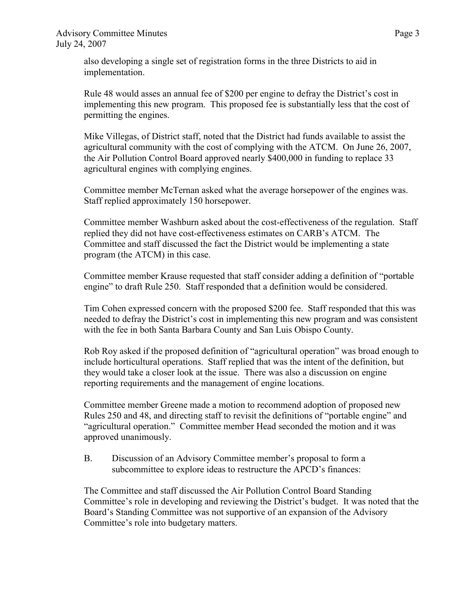also developing a single set of registration forms in the three Districts to aid in implementation.

Rule 48 would asses an annual fee of \$200 per engine to defray the District's cost in implementing this new program. This proposed fee is substantially less that the cost of permitting the engines.

Mike Villegas, of District staff, noted that the District had funds available to assist the agricultural community with the cost of complying with the ATCM. On June 26, 2007, the Air Pollution Control Board approved nearly \$400,000 in funding to replace 33 agricultural engines with complying engines.

Committee member McTernan asked what the average horsepower of the engines was. Staff replied approximately 150 horsepower.

Committee member Washburn asked about the cost-effectiveness of the regulation. Staff replied they did not have cost-effectiveness estimates on CARB's ATCM. The Committee and staff discussed the fact the District would be implementing a state program (the ATCM) in this case.

Committee member Krause requested that staff consider adding a definition of "portable engine" to draft Rule 250. Staff responded that a definition would be considered.

Tim Cohen expressed concern with the proposed \$200 fee. Staff responded that this was needed to defray the District's cost in implementing this new program and was consistent with the fee in both Santa Barbara County and San Luis Obispo County.

Rob Roy asked if the proposed definition of "agricultural operation" was broad enough to include horticultural operations. Staff replied that was the intent of the definition, but they would take a closer look at the issue. There was also a discussion on engine reporting requirements and the management of engine locations.

Committee member Greene made a motion to recommend adoption of proposed new Rules 250 and 48, and directing staff to revisit the definitions of "portable engine" and "agricultural operation." Committee member Head seconded the motion and it was approved unanimously.

B. Discussion of an Advisory Committee member's proposal to form a subcommittee to explore ideas to restructure the APCD's finances:

The Committee and staff discussed the Air Pollution Control Board Standing Committee's role in developing and reviewing the District's budget. It was noted that the Board's Standing Committee was not supportive of an expansion of the Advisory Committee's role into budgetary matters.